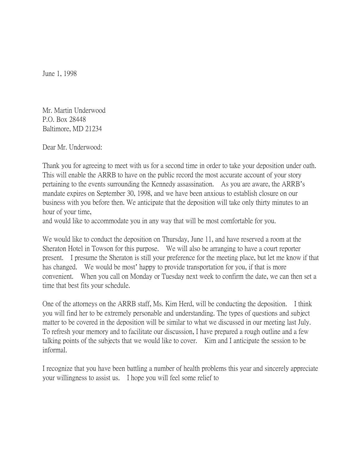June 1, 1998

Mr. Martin Underwood P.O. Box 28448 Baltimore, MD 21234

Dear Mr. Underwood:

Thank you for agreeing to meet with us for a second time in order to take your deposition under oath. This will enable the ARRB to have on the public record the most accurate account of your story pertaining to the events surrounding the Kennedy assassination. As you are aware, the ARRB's mandate expires on September 30, 1998, and we have been anxious to establish closure on our business with you before then. We anticipate that the deposition will take only thirty minutes to an hour of your time,

and would like to accommodate you in any way that will be most comfortable for you.

We would like to conduct the deposition on Thursday, June 11, and have reserved a room at the Sheraton Hotel in Towson for this purpose. We will also be arranging to have a court reporter present. I presume the Sheraton is still your preference for the meeting place, but let me know if that has changed. We would be most' happy to provide transportation for you, if that is more convenient. When you call on Monday or Tuesday next week to confirm the date, we can then set a time that best fits your schedule.

One of the attorneys on the ARRB staff, Ms. Kim Herd, will be conducting the deposition. I think you will find her to be extremely personable and understanding. The types of questions and subject matter to be covered in the deposition will be similar to what we discussed in our meeting last July. To refresh your memory and to facilitate our discussion, I have prepared a rough outline and a few talking points of the subjects that we would like to cover. Kim and I anticipate the session to be informal.

I recognize that you have been battling a number of health problems this year and sincerely appreciate your willingness to assist us. I hope you will feel some relief to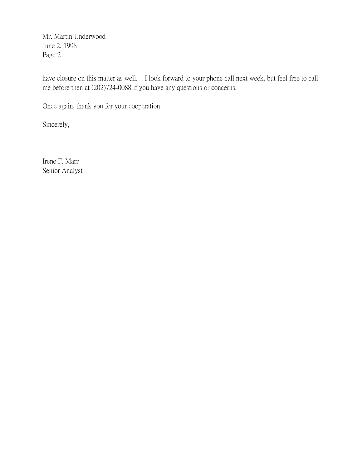Mr. Martin Underwood June 2, 1998 Page 2

have closure on this matter as well. I look forward to your phone call next week, but feel free to call me before then at (202)724-0088 if you have any questions or concerns.

Once again, thank you for your cooperation.

Sincerely,

Irene F. Marr Senior Analyst